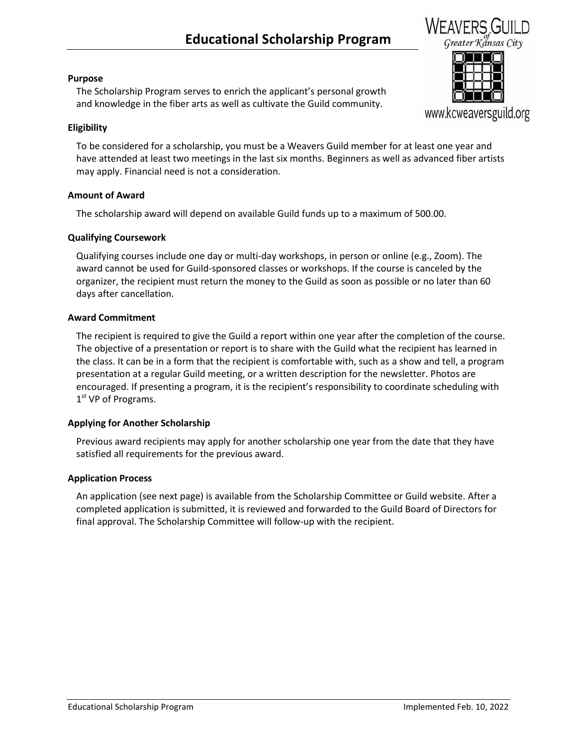# **Educational Scholarship Program**



## **Purpose**

The Scholarship Program serves to enrich the applicant's personal growth and knowledge in the fiber arts as well as cultivate the Guild community.

## **Eligibility**

To be considered for a scholarship, you must be a Weavers Guild member for at least one year and have attended at least two meetings in the last six months. Beginners as well as advanced fiber artists may apply. Financial need is not a consideration.

## **Amount of Award**

The scholarship award will depend on available Guild funds up to a maximum of 500.00.

## **Qualifying Coursework**

Qualifying courses include one day or multi-day workshops, in person or online (e.g., Zoom). The award cannot be used for Guild-sponsored classes or workshops. If the course is canceled by the organizer, the recipient must return the money to the Guild as soon as possible or no later than 60 days after cancellation.

## **Award Commitment**

The recipient is required to give the Guild a report within one year after the completion of the course. The objective of a presentation or report is to share with the Guild what the recipient has learned in the class. It can be in a form that the recipient is comfortable with, such as a show and tell, a program presentation at a regular Guild meeting, or a written description for the newsletter. Photos are encouraged. If presenting a program, it is the recipient's responsibility to coordinate scheduling with 1<sup>st</sup> VP of Programs.

## **Applying for Another Scholarship**

Previous award recipients may apply for another scholarship one year from the date that they have satisfied all requirements for the previous award.

## **Application Process**

An application (see next page) is available from the Scholarship Committee or Guild website. After a completed application is submitted, it is reviewed and forwarded to the Guild Board of Directors for final approval. The Scholarship Committee will follow-up with the recipient.



www.kcweaversguild.org